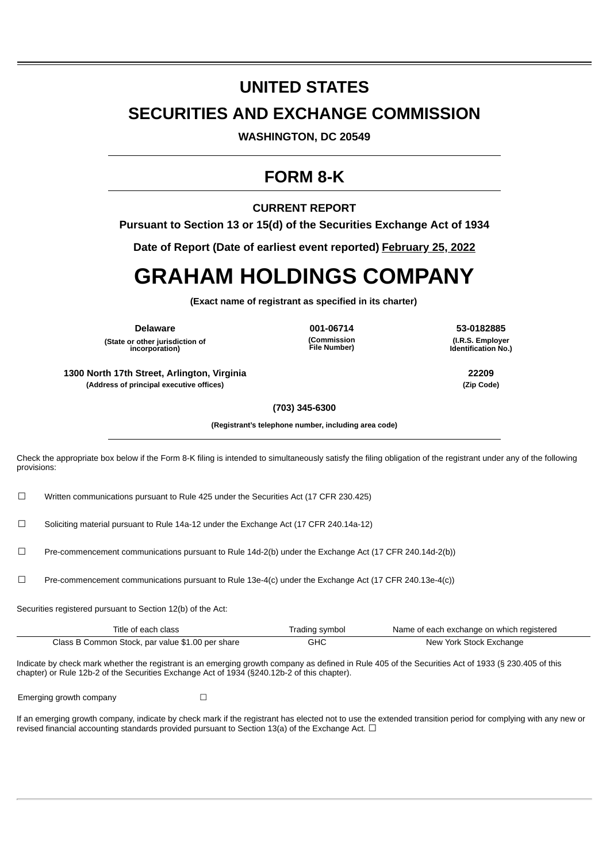# **UNITED STATES**

# **SECURITIES AND EXCHANGE COMMISSION**

**WASHINGTON, DC 20549**

# **FORM 8-K**

**CURRENT REPORT**

**Pursuant to Section 13 or 15(d) of the Securities Exchange Act of 1934**

**Date of Report (Date of earliest event reported) February 25, 2022**

# **GRAHAM HOLDINGS COMPANY**

**(Exact name of registrant as specified in its charter)**

**(State or other jurisdiction of incorporation)**

**(Commission File Number)**

**Delaware 001-06714 53-0182885 (I.R.S. Employer Identification No.)**

**1300 North 17th Street, Arlington, Virginia 22209 (Address of principal executive offices) (Zip Code)**

**(703) 345-6300**

**(Registrant's telephone number, including area code)**

Check the appropriate box below if the Form 8-K filing is intended to simultaneously satisfy the filing obligation of the registrant under any of the following provisions:

☐ Written communications pursuant to Rule 425 under the Securities Act (17 CFR 230.425)

☐ Soliciting material pursuant to Rule 14a-12 under the Exchange Act (17 CFR 240.14a-12)

 $□$  Pre-commencement communications pursuant to Rule 14d-2(b) under the Exchange Act (17 CFR 240.14d-2(b))

☐ Pre-commencement communications pursuant to Rule 13e-4(c) under the Exchange Act (17 CFR 240.13e-4(c))

Securities registered pursuant to Section 12(b) of the Act:

| Title of each class                              | Trading symbol | Name of each exchange on which registered |
|--------------------------------------------------|----------------|-------------------------------------------|
| Class B Common Stock, par value \$1.00 per share | GHC            | New York Stock Exchange                   |

Indicate by check mark whether the registrant is an emerging growth company as defined in Rule 405 of the Securities Act of 1933 (§ 230.405 of this chapter) or Rule 12b-2 of the Securities Exchange Act of 1934 (§240.12b-2 of this chapter).

Emerging growth company  $\Box$ 

If an emerging growth company, indicate by check mark if the registrant has elected not to use the extended transition period for complying with any new or revised financial accounting standards provided pursuant to Section 13(a) of the Exchange Act.  $\Box$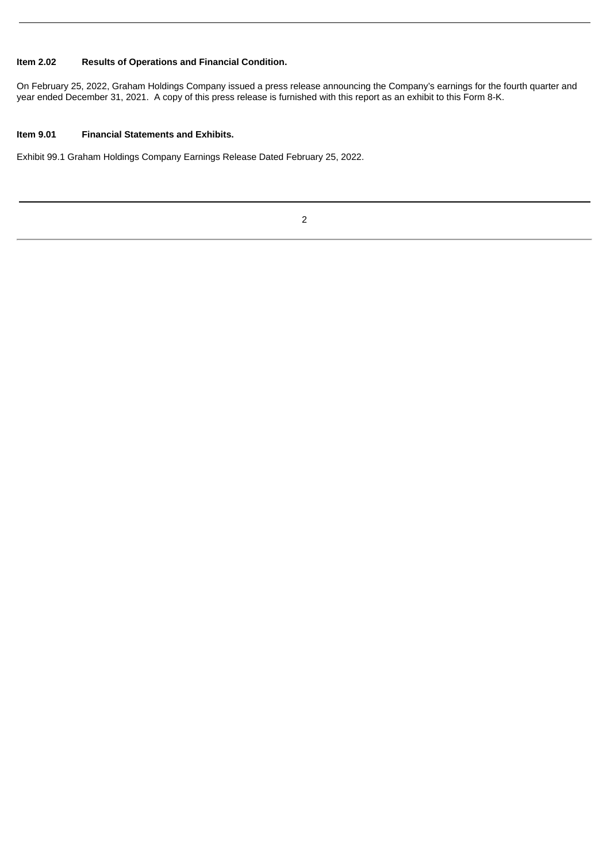# **Item 2.02 Results of Operations and Financial Condition.**

On February 25, 2022, Graham Holdings Company issued a press release announcing the Company's earnings for the fourth quarter and year ended December 31, 2021. A copy of this press release is furnished with this report as an exhibit to this Form 8-K.

#### **Item 9.01 Financial Statements and Exhibits.**

Exhibit 99.1 Graham Holdings Company Earnings Release Dated February 25, 2022.

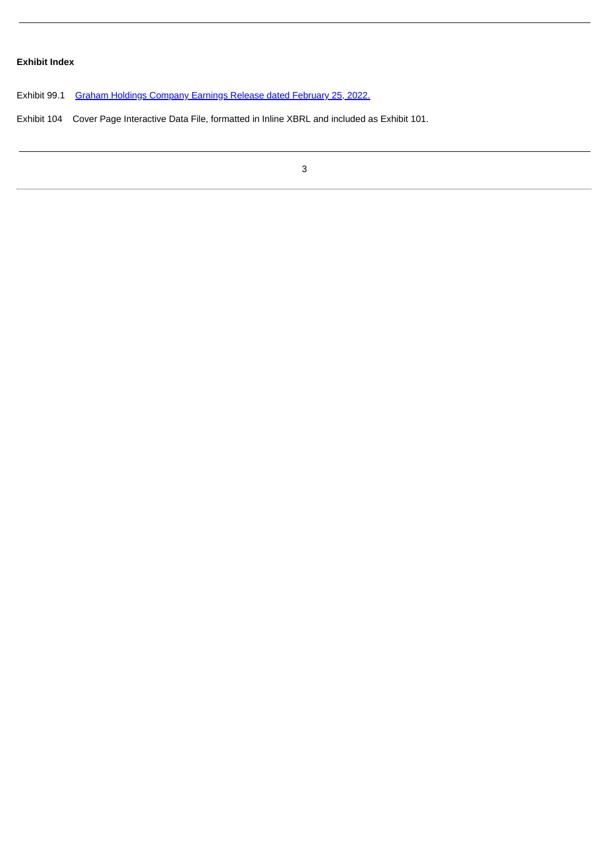# **Exhibit Index**

Exhibit 99.1 Graham Holdings [Company](#page-4-0) Earnings Release dated February 25, 2022.

Exhibit 104 Cover Page Interactive Data File, formatted in Inline XBRL and included as Exhibit 101.

3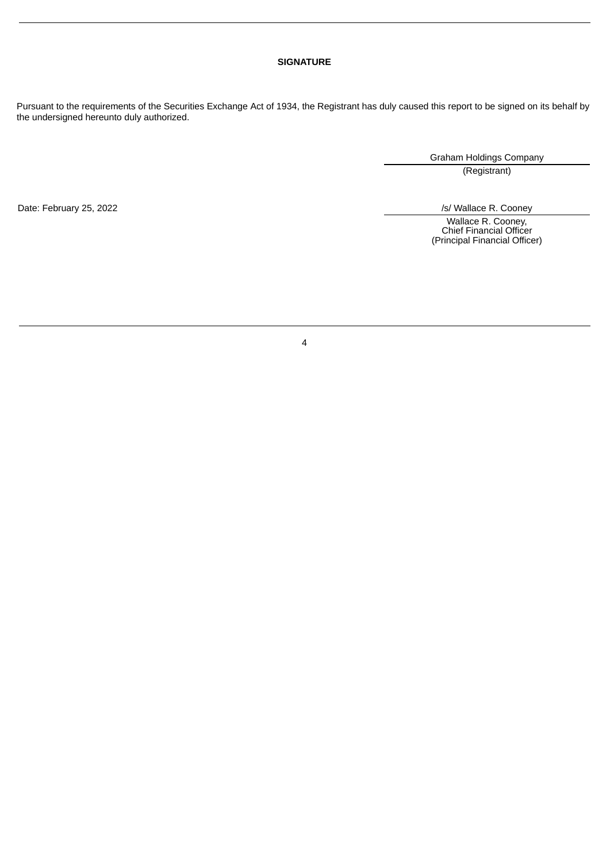## **SIGNATURE**

Pursuant to the requirements of the Securities Exchange Act of 1934, the Registrant has duly caused this report to be signed on its behalf by the undersigned hereunto duly authorized.

Graham Holdings Company

(Registrant)

Date: February 25, 2022 <br>
S/ Wallace R. Cooney

Wallace R. Cooney, Chief Financial Officer (Principal Financial Officer)

4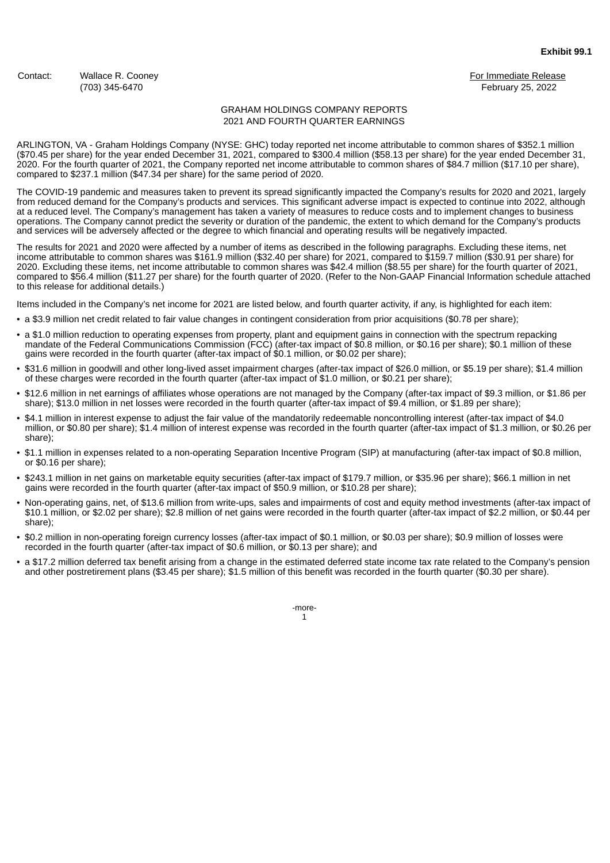<span id="page-4-0"></span>Contact: Wallace R. Cooney **For Immediate Release** Contact: Wallace R. Cooney For Immediate Release

(703) 345-6470 February 25, 2022

#### GRAHAM HOLDINGS COMPANY REPORTS 2021 AND FOURTH QUARTER EARNINGS

ARLINGTON, VA - Graham Holdings Company (NYSE: GHC) today reported net income attributable to common shares of \$352.1 million (\$70.45 per share) for the year ended December 31, 2021, compared to \$300.4 million (\$58.13 per share) for the year ended December 31, 2020. For the fourth quarter of 2021, the Company reported net income attributable to common shares of \$84.7 million (\$17.10 per share), compared to \$237.1 million (\$47.34 per share) for the same period of 2020.

The COVID-19 pandemic and measures taken to prevent its spread significantly impacted the Company's results for 2020 and 2021, largely from reduced demand for the Company's products and services. This significant adverse impact is expected to continue into 2022, although at a reduced level. The Company's management has taken a variety of measures to reduce costs and to implement changes to business operations. The Company cannot predict the severity or duration of the pandemic, the extent to which demand for the Company's products and services will be adversely affected or the degree to which financial and operating results will be negatively impacted.

The results for 2021 and 2020 were affected by a number of items as described in the following paragraphs. Excluding these items, net income attributable to common shares was \$161.9 million (\$32.40 per share) for 2021, compared to \$159.7 million (\$30.91 per share) for 2020. Excluding these items, net income attributable to common shares was \$42.4 million (\$8.55 per share) for the fourth quarter of 2021, compared to \$56.4 million (\$11.27 per share) for the fourth quarter of 2020. (Refer to the Non-GAAP Financial Information schedule attached to this release for additional details.)

Items included in the Company's net income for 2021 are listed below, and fourth quarter activity, if any, is highlighted for each item:

- a \$3.9 million net credit related to fair value changes in contingent consideration from prior acquisitions (\$0.78 per share);
- a \$1.0 million reduction to operating expenses from property, plant and equipment gains in connection with the spectrum repacking mandate of the Federal Communications Commission (FCC) (after-tax impact of \$0.8 million, or \$0.16 per share); \$0.1 million of these gains were recorded in the fourth quarter (after-tax impact of \$0.1 million, or \$0.02 per share);
- \$31.6 million in goodwill and other long-lived asset impairment charges (after-tax impact of \$26.0 million, or \$5.19 per share); \$1.4 million of these charges were recorded in the fourth quarter (after-tax impact of \$1.0 million, or \$0.21 per share);
- \$12.6 million in net earnings of affiliates whose operations are not managed by the Company (after-tax impact of \$9.3 million, or \$1.86 per share); \$13.0 million in net losses were recorded in the fourth quarter (after-tax impact of \$9.4 million, or \$1.89 per share);
- \$4.1 million in interest expense to adjust the fair value of the mandatorily redeemable noncontrolling interest (after-tax impact of \$4.0 million, or \$0.80 per share); \$1.4 million of interest expense was recorded in the fourth quarter (after-tax impact of \$1.3 million, or \$0.26 per share);
- \$1.1 million in expenses related to a non-operating Separation Incentive Program (SIP) at manufacturing (after-tax impact of \$0.8 million, or \$0.16 per share);
- \$243.1 million in net gains on marketable equity securities (after-tax impact of \$179.7 million, or \$35.96 per share); \$66.1 million in net gains were recorded in the fourth quarter (after-tax impact of \$50.9 million, or \$10.28 per share);
- Non-operating gains, net, of \$13.6 million from write-ups, sales and impairments of cost and equity method investments (after-tax impact of \$10.1 million, or \$2.02 per share); \$2.8 million of net gains were recorded in the fourth quarter (after-tax impact of \$2.2 million, or \$0.44 per share);
- \$0.2 million in non-operating foreign currency losses (after-tax impact of \$0.1 million, or \$0.03 per share); \$0.9 million of losses were recorded in the fourth quarter (after-tax impact of \$0.6 million, or \$0.13 per share); and
- a \$17.2 million deferred tax benefit arising from a change in the estimated deferred state income tax rate related to the Company's pension and other postretirement plans (\$3.45 per share); \$1.5 million of this benefit was recorded in the fourth quarter (\$0.30 per share).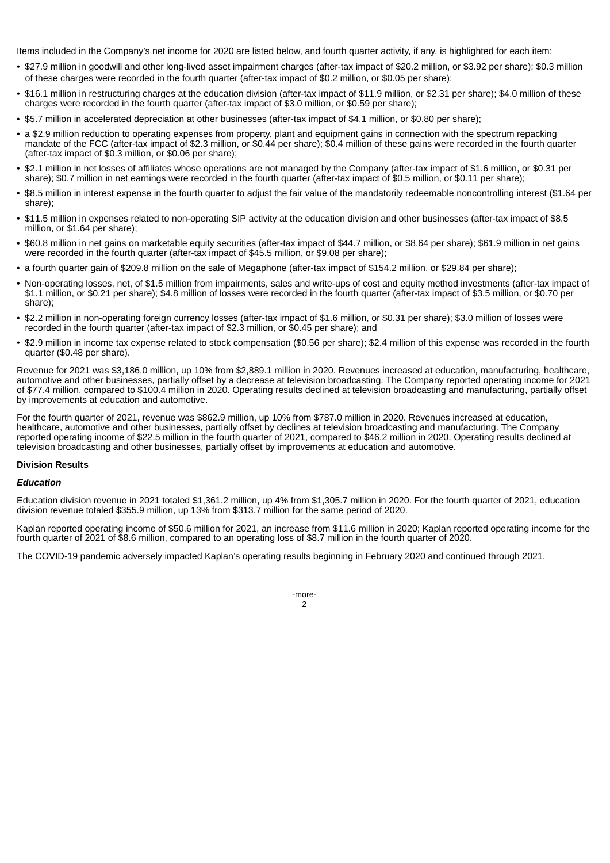Items included in the Company's net income for 2020 are listed below, and fourth quarter activity, if any, is highlighted for each item:

- \$27.9 million in goodwill and other long-lived asset impairment charges (after-tax impact of \$20.2 million, or \$3.92 per share); \$0.3 million of these charges were recorded in the fourth quarter (after-tax impact of \$0.2 million, or \$0.05 per share);
- \$16.1 million in restructuring charges at the education division (after-tax impact of \$11.9 million, or \$2.31 per share); \$4.0 million of these charges were recorded in the fourth quarter (after-tax impact of \$3.0 million, or \$0.59 per share);
- \$5.7 million in accelerated depreciation at other businesses (after-tax impact of \$4.1 million, or \$0.80 per share);
- a \$2.9 million reduction to operating expenses from property, plant and equipment gains in connection with the spectrum repacking mandate of the FCC (after-tax impact of \$2.3 million, or \$0.44 per share); \$0.4 million of these gains were recorded in the fourth quarter (after-tax impact of \$0.3 million, or \$0.06 per share);
- \$2.1 million in net losses of affiliates whose operations are not managed by the Company (after-tax impact of \$1.6 million, or \$0.31 per share); \$0.7 million in net earnings were recorded in the fourth quarter (after-tax impact of \$0.5 million, or \$0.11 per share);
- \$8.5 million in interest expense in the fourth quarter to adjust the fair value of the mandatorily redeemable noncontrolling interest (\$1.64 per share);
- \$11.5 million in expenses related to non-operating SIP activity at the education division and other businesses (after-tax impact of \$8.5 million, or \$1.64 per share);
- \$60.8 million in net gains on marketable equity securities (after-tax impact of \$44.7 million, or \$8.64 per share); \$61.9 million in net gains were recorded in the fourth quarter (after-tax impact of \$45.5 million, or \$9.08 per share);
- a fourth quarter gain of \$209.8 million on the sale of Megaphone (after-tax impact of \$154.2 million, or \$29.84 per share);
- Non-operating losses, net, of \$1.5 million from impairments, sales and write-ups of cost and equity method investments (after-tax impact of \$1.1 million, or \$0.21 per share); \$4.8 million of losses were recorded in the fourth quarter (after-tax impact of \$3.5 million, or \$0.70 per share);
- \$2.2 million in non-operating foreign currency losses (after-tax impact of \$1.6 million, or \$0.31 per share); \$3.0 million of losses were recorded in the fourth quarter (after-tax impact of \$2.3 million, or \$0.45 per share); and
- \$2.9 million in income tax expense related to stock compensation (\$0.56 per share); \$2.4 million of this expense was recorded in the fourth quarter (\$0.48 per share).

Revenue for 2021 was \$3,186.0 million, up 10% from \$2,889.1 million in 2020. Revenues increased at education, manufacturing, healthcare, automotive and other businesses, partially offset by a decrease at television broadcasting. The Company reported operating income for 2021 of \$77.4 million, compared to \$100.4 million in 2020. Operating results declined at television broadcasting and manufacturing, partially offset by improvements at education and automotive.

For the fourth quarter of 2021, revenue was \$862.9 million, up 10% from \$787.0 million in 2020. Revenues increased at education, healthcare, automotive and other businesses, partially offset by declines at television broadcasting and manufacturing. The Company reported operating income of \$22.5 million in the fourth quarter of 2021, compared to \$46.2 million in 2020. Operating results declined at television broadcasting and other businesses, partially offset by improvements at education and automotive.

#### **Division Results**

#### *Education*

Education division revenue in 2021 totaled \$1,361.2 million, up 4% from \$1,305.7 million in 2020. For the fourth quarter of 2021, education division revenue totaled \$355.9 million, up 13% from \$313.7 million for the same period of 2020.

Kaplan reported operating income of \$50.6 million for 2021, an increase from \$11.6 million in 2020; Kaplan reported operating income for the fourth quarter of 2021 of \$8.6 million, compared to an operating loss of \$8.7 million in the fourth quarter of 2020.

The COVID-19 pandemic adversely impacted Kaplan's operating results beginning in February 2020 and continued through 2021.

-more- $\overline{2}$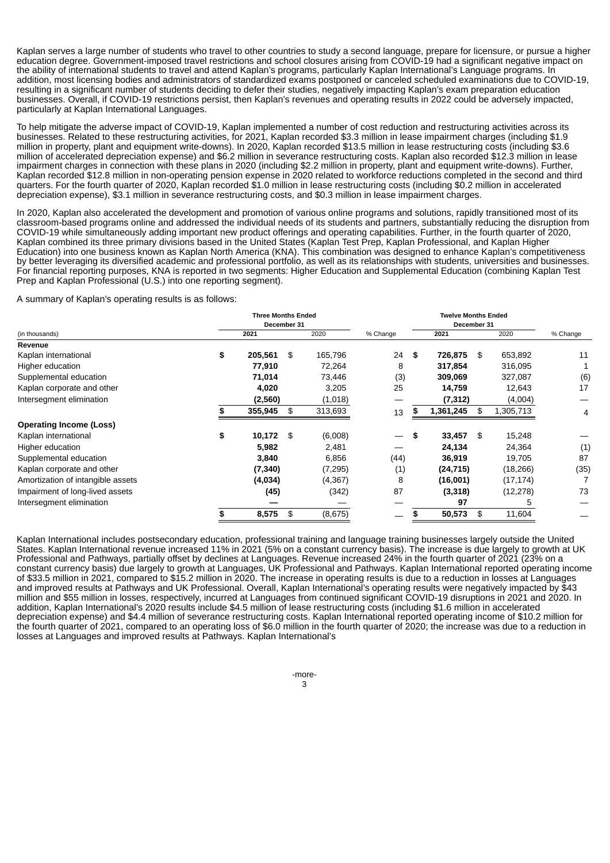Kaplan serves a large number of students who travel to other countries to study a second language, prepare for licensure, or pursue a higher education degree. Government-imposed travel restrictions and school closures arising from COVID-19 had a significant negative impact on the ability of international students to travel and attend Kaplan's programs, particularly Kaplan International's Language programs. In addition, most licensing bodies and administrators of standardized exams postponed or canceled scheduled examinations due to COVID-19, resulting in a significant number of students deciding to defer their studies, negatively impacting Kaplan's exam preparation education businesses. Overall, if COVID-19 restrictions persist, then Kaplan's revenues and operating results in 2022 could be adversely impacted, particularly at Kaplan International Languages.

To help mitigate the adverse impact of COVID-19, Kaplan implemented a number of cost reduction and restructuring activities across its businesses. Related to these restructuring activities, for 2021, Kaplan recorded \$3.3 million in lease impairment charges (including \$1.9 million in property, plant and equipment write-downs). In 2020, Kaplan recorded \$13.5 million in lease restructuring costs (including \$3.6 million of accelerated depreciation expense) and \$6.2 million in severance restructuring costs. Kaplan also recorded \$12.3 million in lease impairment charges in connection with these plans in 2020 (including \$2.2 million in property, plant and equipment write-downs). Further, Kaplan recorded \$12.8 million in non-operating pension expense in 2020 related to workforce reductions completed in the second and third quarters. For the fourth quarter of 2020, Kaplan recorded \$1.0 million in lease restructuring costs (including \$0.2 million in accelerated depreciation expense), \$3.1 million in severance restructuring costs, and \$0.3 million in lease impairment charges.

In 2020, Kaplan also accelerated the development and promotion of various online programs and solutions, rapidly transitioned most of its classroom-based programs online and addressed the individual needs of its students and partners, substantially reducing the disruption from COVID-19 while simultaneously adding important new product offerings and operating capabilities. Further, in the fourth quarter of 2020, Kaplan combined its three primary divisions based in the United States (Kaplan Test Prep, Kaplan Professional, and Kaplan Higher Education) into one business known as Kaplan North America (KNA). This combination was designed to enhance Kaplan's competitiveness by better leveraging its diversified academic and professional portfolio, as well as its relationships with students, universities and businesses. For financial reporting purposes, KNA is reported in two segments: Higher Education and Supplemental Education (combining Kaplan Test Prep and Kaplan Professional (U.S.) into one reporting segment).

A summary of Kaplan's operating results is as follows:

|                                   |    | <b>Three Months Ended</b> |     |          |          |              |                 |          |  |
|-----------------------------------|----|---------------------------|-----|----------|----------|--------------|-----------------|----------|--|
|                                   |    | December 31               |     |          |          | December 31  |                 |          |  |
| (in thousands)                    |    | 2021                      |     | 2020     | % Change | 2021         | 2020            | % Change |  |
| Revenue                           |    |                           |     |          |          |              |                 |          |  |
| Kaplan international              | \$ | 205,561                   | \$  | 165,796  | 24S      | 726,875 \$   | 653,892         | 11       |  |
| Higher education                  |    | 77,910                    |     | 72,264   | 8        | 317,854      | 316,095         |          |  |
| Supplemental education            |    | 71,014                    |     | 73,446   | (3)      | 309,069      | 327,087         | (6)      |  |
| Kaplan corporate and other        |    | 4,020                     |     | 3,205    | 25       | 14,759       | 12,643          | 17       |  |
| Intersegment elimination          |    | (2,560)                   |     | (1,018)  |          | (7, 312)     | (4,004)         |          |  |
|                                   |    | 355,945                   | \$  | 313,693  | 13       | 1,361,245    | \$<br>1,305,713 | 4        |  |
| <b>Operating Income (Loss)</b>    |    |                           |     |          |          |              |                 |          |  |
| Kaplan international              | \$ | 10,172                    | -\$ | (6,008)  |          | \$<br>33,457 | \$<br>15,248    |          |  |
| Higher education                  |    | 5,982                     |     | 2,481    |          | 24,134       | 24,364          | (1)      |  |
| Supplemental education            |    | 3,840                     |     | 6,856    | (44)     | 36,919       | 19,705          | 87       |  |
| Kaplan corporate and other        |    | (7, 340)                  |     | (7, 295) | (1)      | (24, 715)    | (18, 266)       | (35)     |  |
| Amortization of intangible assets |    | (4,034)                   |     | (4, 367) | 8        | (16,001)     | (17, 174)       |          |  |
| Impairment of long-lived assets   |    | (45)                      |     | (342)    | 87       | (3,318)      | (12, 278)       | 73       |  |
| Intersegment elimination          |    |                           |     |          |          | 97           |                 |          |  |
|                                   |    | 8,575                     | \$  | (8,675)  |          | 50,573       | \$<br>11,604    |          |  |

Kaplan International includes postsecondary education, professional training and language training businesses largely outside the United States. Kaplan International revenue increased 11% in 2021 (5% on a constant currency basis). The increase is due largely to growth at UK Professional and Pathways, partially offset by declines at Languages. Revenue increased 24% in the fourth quarter of 2021 (23% on a constant currency basis) due largely to growth at Languages, UK Professional and Pathways. Kaplan International reported operating income of \$33.5 million in 2021, compared to \$15.2 million in 2020. The increase in operating results is due to a reduction in losses at Languages and improved results at Pathways and UK Professional. Overall, Kaplan International's operating results were negatively impacted by \$43 million and \$55 million in losses, respectively, incurred at Languages from continued significant COVID-19 disruptions in 2021 and 2020. In addition, Kaplan International's 2020 results include \$4.5 million of lease restructuring costs (including \$1.6 million in accelerated depreciation expense) and \$4.4 million of severance restructuring costs. Kaplan International reported operating income of \$10.2 million for the fourth quarter of 2021, compared to an operating loss of \$6.0 million in the fourth quarter of 2020; the increase was due to a reduction in losses at Languages and improved results at Pathways. Kaplan International's

-more-

3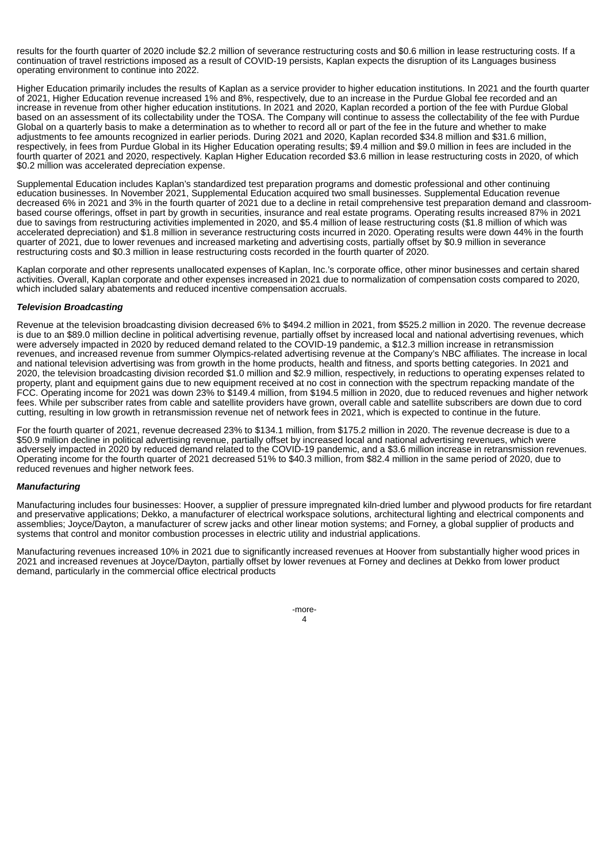results for the fourth quarter of 2020 include \$2.2 million of severance restructuring costs and \$0.6 million in lease restructuring costs. If a continuation of travel restrictions imposed as a result of COVID-19 persists, Kaplan expects the disruption of its Languages business operating environment to continue into 2022.

Higher Education primarily includes the results of Kaplan as a service provider to higher education institutions. In 2021 and the fourth quarter of 2021, Higher Education revenue increased 1% and 8%, respectively, due to an increase in the Purdue Global fee recorded and an increase in revenue from other higher education institutions. In 2021 and 2020, Kaplan recorded a portion of the fee with Purdue Global based on an assessment of its collectability under the TOSA. The Company will continue to assess the collectability of the fee with Purdue Global on a quarterly basis to make a determination as to whether to record all or part of the fee in the future and whether to make adjustments to fee amounts recognized in earlier periods. During 2021 and 2020, Kaplan recorded \$34.8 million and \$31.6 million, respectively, in fees from Purdue Global in its Higher Education operating results; \$9.4 million and \$9.0 million in fees are included in the fourth quarter of 2021 and 2020, respectively. Kaplan Higher Education recorded \$3.6 million in lease restructuring costs in 2020, of which \$0.2 million was accelerated depreciation expense.

Supplemental Education includes Kaplan's standardized test preparation programs and domestic professional and other continuing education businesses. In November 2021, Supplemental Education acquired two small businesses. Supplemental Education revenue decreased 6% in 2021 and 3% in the fourth quarter of 2021 due to a decline in retail comprehensive test preparation demand and classroombased course offerings, offset in part by growth in securities, insurance and real estate programs. Operating results increased 87% in 2021 due to savings from restructuring activities implemented in 2020, and \$5.4 million of lease restructuring costs (\$1.8 million of which was accelerated depreciation) and \$1.8 million in severance restructuring costs incurred in 2020. Operating results were down 44% in the fourth quarter of 2021, due to lower revenues and increased marketing and advertising costs, partially offset by \$0.9 million in severance restructuring costs and \$0.3 million in lease restructuring costs recorded in the fourth quarter of 2020.

Kaplan corporate and other represents unallocated expenses of Kaplan, Inc.'s corporate office, other minor businesses and certain shared activities. Overall, Kaplan corporate and other expenses increased in 2021 due to normalization of compensation costs compared to 2020, which included salary abatements and reduced incentive compensation accruals.

#### *Television Broadcasting*

Revenue at the television broadcasting division decreased 6% to \$494.2 million in 2021, from \$525.2 million in 2020. The revenue decrease is due to an \$89.0 million decline in political advertising revenue, partially offset by increased local and national advertising revenues, which were adversely impacted in 2020 by reduced demand related to the COVID-19 pandemic, a \$12.3 million increase in retransmission revenues, and increased revenue from summer Olympics-related advertising revenue at the Company's NBC affiliates. The increase in local and national television advertising was from growth in the home products, health and fitness, and sports betting categories. In 2021 and 2020, the television broadcasting division recorded \$1.0 million and \$2.9 million, respectively, in reductions to operating expenses related to property, plant and equipment gains due to new equipment received at no cost in connection with the spectrum repacking mandate of the FCC. Operating income for 2021 was down 23% to \$149.4 million, from \$194.5 million in 2020, due to reduced revenues and higher network fees. While per subscriber rates from cable and satellite providers have grown, overall cable and satellite subscribers are down due to cord cutting, resulting in low growth in retransmission revenue net of network fees in 2021, which is expected to continue in the future.

For the fourth quarter of 2021, revenue decreased 23% to \$134.1 million, from \$175.2 million in 2020. The revenue decrease is due to a \$50.9 million decline in political advertising revenue, partially offset by increased local and national advertising revenues, which were adversely impacted in 2020 by reduced demand related to the COVID-19 pandemic, and a \$3.6 million increase in retransmission revenues. Operating income for the fourth quarter of 2021 decreased 51% to \$40.3 million, from \$82.4 million in the same period of 2020, due to reduced revenues and higher network fees.

#### *Manufacturing*

Manufacturing includes four businesses: Hoover, a supplier of pressure impregnated kiln-dried lumber and plywood products for fire retardant and preservative applications; Dekko, a manufacturer of electrical workspace solutions, architectural lighting and electrical components and assemblies; Joyce/Dayton, a manufacturer of screw jacks and other linear motion systems; and Forney, a global supplier of products and systems that control and monitor combustion processes in electric utility and industrial applications.

Manufacturing revenues increased 10% in 2021 due to significantly increased revenues at Hoover from substantially higher wood prices in 2021 and increased revenues at Joyce/Dayton, partially offset by lower revenues at Forney and declines at Dekko from lower product demand, particularly in the commercial office electrical products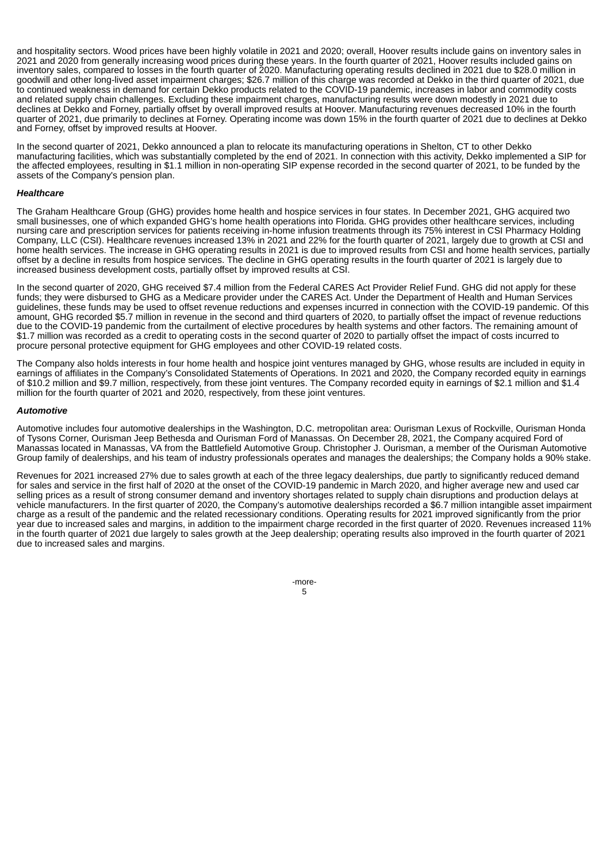and hospitality sectors. Wood prices have been highly volatile in 2021 and 2020; overall, Hoover results include gains on inventory sales in 2021 and 2020 from generally increasing wood prices during these years. In the fourth quarter of 2021, Hoover results included gains on inventory sales, compared to losses in the fourth quarter of 2020. Manufacturing operating results declined in 2021 due to \$28.0 million in goodwill and other long-lived asset impairment charges; \$26.7 million of this charge was recorded at Dekko in the third quarter of 2021, due to continued weakness in demand for certain Dekko products related to the COVID-19 pandemic, increases in labor and commodity costs and related supply chain challenges. Excluding these impairment charges, manufacturing results were down modestly in 2021 due to declines at Dekko and Forney, partially offset by overall improved results at Hoover. Manufacturing revenues decreased 10% in the fourth quarter of 2021, due primarily to declines at Forney. Operating income was down 15% in the fourth quarter of 2021 due to declines at Dekko and Forney, offset by improved results at Hoover.

In the second quarter of 2021, Dekko announced a plan to relocate its manufacturing operations in Shelton, CT to other Dekko manufacturing facilities, which was substantially completed by the end of 2021. In connection with this activity, Dekko implemented a SIP for the affected employees, resulting in \$1.1 million in non-operating SIP expense recorded in the second quarter of 2021, to be funded by the assets of the Company's pension plan.

#### *Healthcare*

The Graham Healthcare Group (GHG) provides home health and hospice services in four states. In December 2021, GHG acquired two small businesses, one of which expanded GHG's home health operations into Florida. GHG provides other healthcare services, including nursing care and prescription services for patients receiving in-home infusion treatments through its 75% interest in CSI Pharmacy Holding Company, LLC (CSI). Healthcare revenues increased 13% in 2021 and 22% for the fourth quarter of 2021, largely due to growth at CSI and home health services. The increase in GHG operating results in 2021 is due to improved results from CSI and home health services, partially offset by a decline in results from hospice services. The decline in GHG operating results in the fourth quarter of 2021 is largely due to increased business development costs, partially offset by improved results at CSI.

In the second quarter of 2020, GHG received \$7.4 million from the Federal CARES Act Provider Relief Fund. GHG did not apply for these funds; they were disbursed to GHG as a Medicare provider under the CARES Act. Under the Department of Health and Human Services guidelines, these funds may be used to offset revenue reductions and expenses incurred in connection with the COVID-19 pandemic. Of this amount, GHG recorded \$5.7 million in revenue in the second and third quarters of 2020, to partially offset the impact of revenue reductions due to the COVID-19 pandemic from the curtailment of elective procedures by health systems and other factors. The remaining amount of \$1.7 million was recorded as a credit to operating costs in the second quarter of 2020 to partially offset the impact of costs incurred to procure personal protective equipment for GHG employees and other COVID-19 related costs.

The Company also holds interests in four home health and hospice joint ventures managed by GHG, whose results are included in equity in earnings of affiliates in the Company's Consolidated Statements of Operations. In 2021 and 2020, the Company recorded equity in earnings of \$10.2 million and \$9.7 million, respectively, from these joint ventures. The Company recorded equity in earnings of \$2.1 million and \$1.4 million for the fourth quarter of 2021 and 2020, respectively, from these joint ventures.

#### *Automotive*

Automotive includes four automotive dealerships in the Washington, D.C. metropolitan area: Ourisman Lexus of Rockville, Ourisman Honda of Tysons Corner, Ourisman Jeep Bethesda and Ourisman Ford of Manassas. On December 28, 2021, the Company acquired Ford of Manassas located in Manassas, VA from the Battlefield Automotive Group. Christopher J. Ourisman, a member of the Ourisman Automotive Group family of dealerships, and his team of industry professionals operates and manages the dealerships; the Company holds a 90% stake.

Revenues for 2021 increased 27% due to sales growth at each of the three legacy dealerships, due partly to significantly reduced demand for sales and service in the first half of 2020 at the onset of the COVID-19 pandemic in March 2020, and higher average new and used car selling prices as a result of strong consumer demand and inventory shortages related to supply chain disruptions and production delays at vehicle manufacturers. In the first quarter of 2020, the Company's automotive dealerships recorded a \$6.7 million intangible asset impairment charge as a result of the pandemic and the related recessionary conditions. Operating results for 2021 improved significantly from the prior year due to increased sales and margins, in addition to the impairment charge recorded in the first quarter of 2020. Revenues increased 11% in the fourth quarter of 2021 due largely to sales growth at the Jeep dealership; operating results also improved in the fourth quarter of 2021 due to increased sales and margins.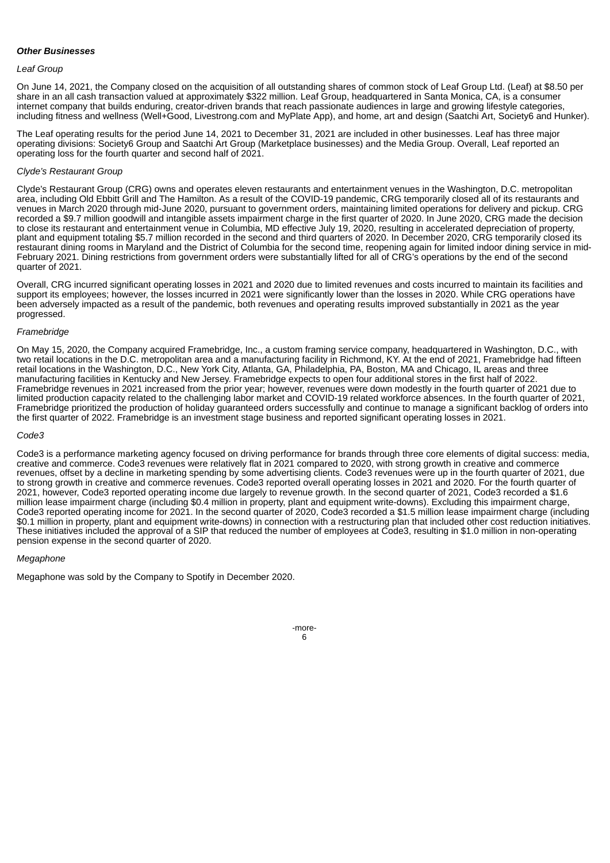#### *Other Businesses*

#### *Leaf Group*

On June 14, 2021, the Company closed on the acquisition of all outstanding shares of common stock of Leaf Group Ltd. (Leaf) at \$8.50 per share in an all cash transaction valued at approximately \$322 million. Leaf Group, headquartered in Santa Monica, CA, is a consumer internet company that builds enduring, creator-driven brands that reach passionate audiences in large and growing lifestyle categories, including fitness and wellness (Well+Good, Livestrong.com and MyPlate App), and home, art and design (Saatchi Art, Society6 and Hunker).

The Leaf operating results for the period June 14, 2021 to December 31, 2021 are included in other businesses. Leaf has three major operating divisions: Society6 Group and Saatchi Art Group (Marketplace businesses) and the Media Group. Overall, Leaf reported an operating loss for the fourth quarter and second half of 2021.

#### *Clyde's Restaurant Group*

Clyde's Restaurant Group (CRG) owns and operates eleven restaurants and entertainment venues in the Washington, D.C. metropolitan area, including Old Ebbitt Grill and The Hamilton. As a result of the COVID-19 pandemic, CRG temporarily closed all of its restaurants and venues in March 2020 through mid-June 2020, pursuant to government orders, maintaining limited operations for delivery and pickup. CRG recorded a \$9.7 million goodwill and intangible assets impairment charge in the first quarter of 2020. In June 2020, CRG made the decision to close its restaurant and entertainment venue in Columbia, MD effective July 19, 2020, resulting in accelerated depreciation of property, plant and equipment totaling \$5.7 million recorded in the second and third quarters of 2020. In December 2020, CRG temporarily closed its restaurant dining rooms in Maryland and the District of Columbia for the second time, reopening again for limited indoor dining service in mid-February 2021. Dining restrictions from government orders were substantially lifted for all of CRG's operations by the end of the second quarter of 2021.

Overall, CRG incurred significant operating losses in 2021 and 2020 due to limited revenues and costs incurred to maintain its facilities and support its employees; however, the losses incurred in 2021 were significantly lower than the losses in 2020. While CRG operations have been adversely impacted as a result of the pandemic, both revenues and operating results improved substantially in 2021 as the year progressed.

#### *Framebridge*

On May 15, 2020, the Company acquired Framebridge, Inc., a custom framing service company, headquartered in Washington, D.C., with two retail locations in the D.C. metropolitan area and a manufacturing facility in Richmond, KY. At the end of 2021, Framebridge had fifteen retail locations in the Washington, D.C., New York City, Atlanta, GA, Philadelphia, PA, Boston, MA and Chicago, IL areas and three manufacturing facilities in Kentucky and New Jersey. Framebridge expects to open four additional stores in the first half of 2022. Framebridge revenues in 2021 increased from the prior year; however, revenues were down modestly in the fourth quarter of 2021 due to limited production capacity related to the challenging labor market and COVID-19 related workforce absences. In the fourth quarter of 2021, Framebridge prioritized the production of holiday guaranteed orders successfully and continue to manage a significant backlog of orders into the first quarter of 2022. Framebridge is an investment stage business and reported significant operating losses in 2021.

#### *Code3*

Code3 is a performance marketing agency focused on driving performance for brands through three core elements of digital success: media, creative and commerce. Code3 revenues were relatively flat in 2021 compared to 2020, with strong growth in creative and commerce revenues, offset by a decline in marketing spending by some advertising clients. Code3 revenues were up in the fourth quarter of 2021, due to strong growth in creative and commerce revenues. Code3 reported overall operating losses in 2021 and 2020. For the fourth quarter of 2021, however, Code3 reported operating income due largely to revenue growth. In the second quarter of 2021, Code3 recorded a \$1.6 million lease impairment charge (including \$0.4 million in property, plant and equipment write-downs). Excluding this impairment charge, Code3 reported operating income for 2021. In the second quarter of 2020, Code3 recorded a \$1.5 million lease impairment charge (including \$0.1 million in property, plant and equipment write-downs) in connection with a restructuring plan that included other cost reduction initiatives. These initiatives included the approval of a SIP that reduced the number of employees at Code3, resulting in \$1.0 million in non-operating pension expense in the second quarter of 2020.

#### *Megaphone*

Megaphone was sold by the Company to Spotify in December 2020.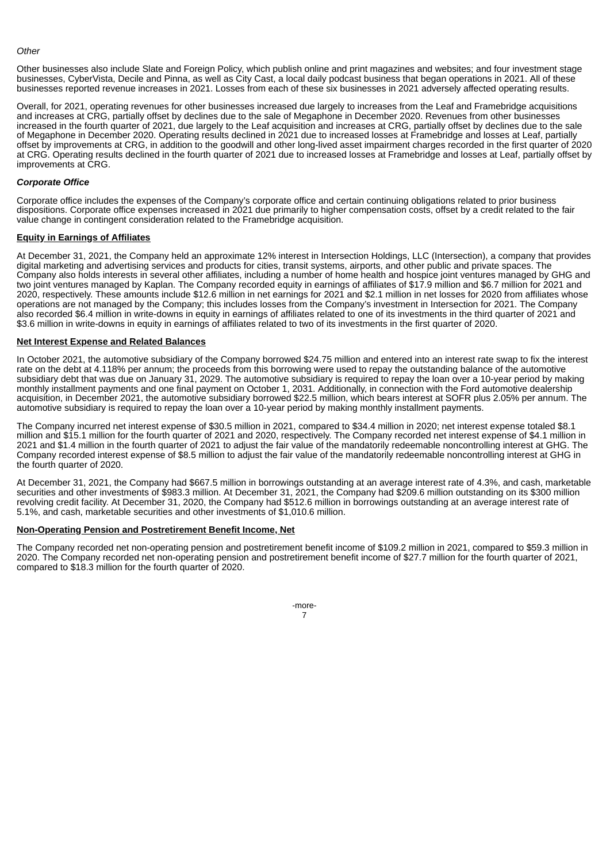#### *Other*

Other businesses also include Slate and Foreign Policy, which publish online and print magazines and websites; and four investment stage businesses, CyberVista, Decile and Pinna, as well as City Cast, a local daily podcast business that began operations in 2021. All of these businesses reported revenue increases in 2021. Losses from each of these six businesses in 2021 adversely affected operating results.

Overall, for 2021, operating revenues for other businesses increased due largely to increases from the Leaf and Framebridge acquisitions and increases at CRG, partially offset by declines due to the sale of Megaphone in December 2020. Revenues from other businesses increased in the fourth quarter of 2021, due largely to the Leaf acquisition and increases at CRG, partially offset by declines due to the sale of Megaphone in December 2020. Operating results declined in 2021 due to increased losses at Framebridge and losses at Leaf, partially offset by improvements at CRG, in addition to the goodwill and other long-lived asset impairment charges recorded in the first quarter of 2020 at CRG. Operating results declined in the fourth quarter of 2021 due to increased losses at Framebridge and losses at Leaf, partially offset by improvements at CRG.

#### *Corporate Office*

Corporate office includes the expenses of the Company's corporate office and certain continuing obligations related to prior business dispositions. Corporate office expenses increased in 2021 due primarily to higher compensation costs, offset by a credit related to the fair value change in contingent consideration related to the Framebridge acquisition.

#### **Equity in Earnings of Affiliates**

At December 31, 2021, the Company held an approximate 12% interest in Intersection Holdings, LLC (Intersection), a company that provides digital marketing and advertising services and products for cities, transit systems, airports, and other public and private spaces. The Company also holds interests in several other affiliates, including a number of home health and hospice joint ventures managed by GHG and two joint ventures managed by Kaplan. The Company recorded equity in earnings of affiliates of \$17.9 million and \$6.7 million for 2021 and 2020, respectively. These amounts include \$12.6 million in net earnings for 2021 and \$2.1 million in net losses for 2020 from affiliates whose operations are not managed by the Company; this includes losses from the Company's investment in Intersection for 2021. The Company also recorded \$6.4 million in write-downs in equity in earnings of affiliates related to one of its investments in the third quarter of 2021 and \$3.6 million in write-downs in equity in earnings of affiliates related to two of its investments in the first quarter of 2020.

#### **Net Interest Expense and Related Balances**

In October 2021, the automotive subsidiary of the Company borrowed \$24.75 million and entered into an interest rate swap to fix the interest rate on the debt at 4.118% per annum; the proceeds from this borrowing were used to repay the outstanding balance of the automotive subsidiary debt that was due on January 31, 2029. The automotive subsidiary is required to repay the loan over a 10-year period by making monthly installment payments and one final payment on October 1, 2031. Additionally, in connection with the Ford automotive dealership acquisition, in December 2021, the automotive subsidiary borrowed \$22.5 million, which bears interest at SOFR plus 2.05% per annum. The automotive subsidiary is required to repay the loan over a 10-year period by making monthly installment payments.

The Company incurred net interest expense of \$30.5 million in 2021, compared to \$34.4 million in 2020; net interest expense totaled \$8.1 million and \$15.1 million for the fourth quarter of 2021 and 2020, respectively. The Company recorded net interest expense of \$4.1 million in 2021 and \$1.4 million in the fourth quarter of 2021 to adjust the fair value of the mandatorily redeemable noncontrolling interest at GHG. The Company recorded interest expense of \$8.5 million to adjust the fair value of the mandatorily redeemable noncontrolling interest at GHG in the fourth quarter of 2020.

At December 31, 2021, the Company had \$667.5 million in borrowings outstanding at an average interest rate of 4.3%, and cash, marketable securities and other investments of \$983.3 million. At December 31, 2021, the Company had \$209.6 million outstanding on its \$300 million revolving credit facility. At December 31, 2020, the Company had \$512.6 million in borrowings outstanding at an average interest rate of 5.1%, and cash, marketable securities and other investments of \$1,010.6 million.

#### **Non-Operating Pension and Postretirement Benefit Income, Net**

The Company recorded net non-operating pension and postretirement benefit income of \$109.2 million in 2021, compared to \$59.3 million in 2020. The Company recorded net non-operating pension and postretirement benefit income of \$27.7 million for the fourth quarter of 2021, compared to \$18.3 million for the fourth quarter of 2020.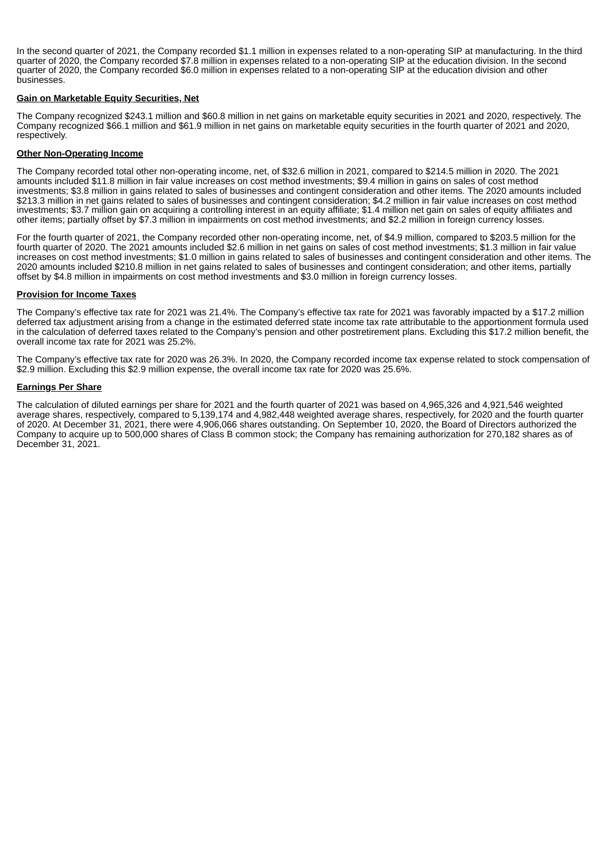In the second quarter of 2021, the Company recorded \$1.1 million in expenses related to a non-operating SIP at manufacturing. In the third quarter of 2020, the Company recorded \$7.8 million in expenses related to a non-operating SIP at the education division. In the second quarter of 2020, the Company recorded \$6.0 million in expenses related to a non-operating SIP at the education division and other **businesses** 

#### **Gain on Marketable Equity Securities, Net**

The Company recognized \$243.1 million and \$60.8 million in net gains on marketable equity securities in 2021 and 2020, respectively. The Company recognized \$66.1 million and \$61.9 million in net gains on marketable equity securities in the fourth quarter of 2021 and 2020, respectively.

#### **Other Non-Operating Income**

The Company recorded total other non-operating income, net, of \$32.6 million in 2021, compared to \$214.5 million in 2020. The 2021 amounts included \$11.8 million in fair value increases on cost method investments; \$9.4 million in gains on sales of cost method investments; \$3.8 million in gains related to sales of businesses and contingent consideration and other items. The 2020 amounts included \$213.3 million in net gains related to sales of businesses and contingent consideration; \$4.2 million in fair value increases on cost method investments; \$3.7 million gain on acquiring a controlling interest in an equity affiliate; \$1.4 million net gain on sales of equity affiliates and other items; partially offset by \$7.3 million in impairments on cost method investments; and \$2.2 million in foreign currency losses.

For the fourth quarter of 2021, the Company recorded other non-operating income, net, of \$4.9 million, compared to \$203.5 million for the fourth quarter of 2020. The 2021 amounts included \$2.6 million in net gains on sales of cost method investments; \$1.3 million in fair value increases on cost method investments; \$1.0 million in gains related to sales of businesses and contingent consideration and other items. The 2020 amounts included \$210.8 million in net gains related to sales of businesses and contingent consideration; and other items, partially offset by \$4.8 million in impairments on cost method investments and \$3.0 million in foreign currency losses.

#### **Provision for Income Taxes**

The Company's effective tax rate for 2021 was 21.4%. The Company's effective tax rate for 2021 was favorably impacted by a \$17.2 million deferred tax adjustment arising from a change in the estimated deferred state income tax rate attributable to the apportionment formula used in the calculation of deferred taxes related to the Company's pension and other postretirement plans. Excluding this \$17.2 million benefit, the overall income tax rate for 2021 was 25.2%.

The Company's effective tax rate for 2020 was 26.3%. In 2020, the Company recorded income tax expense related to stock compensation of \$2.9 million. Excluding this \$2.9 million expense, the overall income tax rate for 2020 was 25.6%.

#### **Earnings Per Share**

The calculation of diluted earnings per share for 2021 and the fourth quarter of 2021 was based on 4,965,326 and 4,921,546 weighted average shares, respectively, compared to 5,139,174 and 4,982,448 weighted average shares, respectively, for 2020 and the fourth quarter of 2020. At December 31, 2021, there were 4,906,066 shares outstanding. On September 10, 2020, the Board of Directors authorized the Company to acquire up to 500,000 shares of Class B common stock; the Company has remaining authorization for 270,182 shares as of December 31, 2021.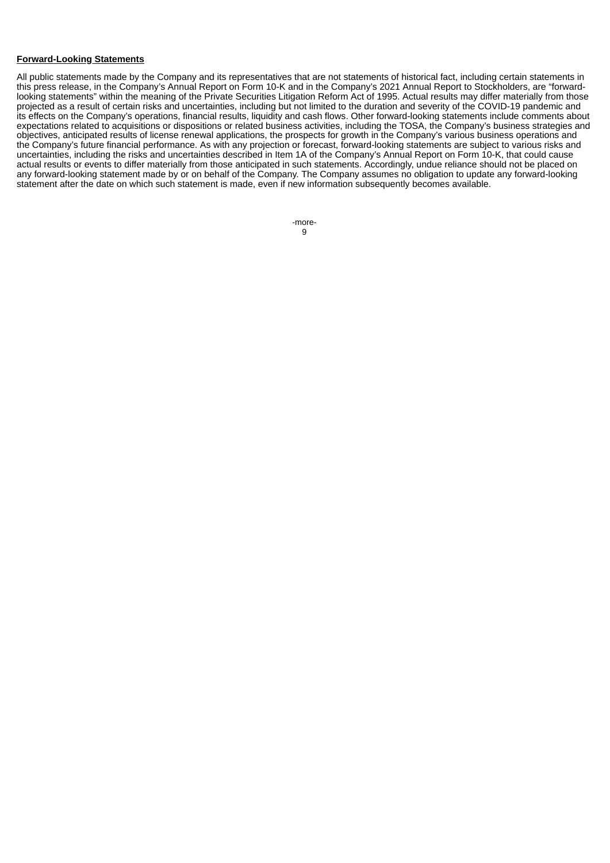#### **Forward-Looking Statements**

All public statements made by the Company and its representatives that are not statements of historical fact, including certain statements in this press release, in the Company's Annual Report on Form 10-K and in the Company's 2021 Annual Report to Stockholders, are "forwardlooking statements" within the meaning of the Private Securities Litigation Reform Act of 1995. Actual results may differ materially from those projected as a result of certain risks and uncertainties, including but not limited to the duration and severity of the COVID-19 pandemic and its effects on the Company's operations, financial results, liquidity and cash flows. Other forward-looking statements include comments about expectations related to acquisitions or dispositions or related business activities, including the TOSA, the Company's business strategies and objectives, anticipated results of license renewal applications, the prospects for growth in the Company's various business operations and the Company's future financial performance. As with any projection or forecast, forward-looking statements are subject to various risks and uncertainties, including the risks and uncertainties described in Item 1A of the Company's Annual Report on Form 10-K, that could cause actual results or events to differ materially from those anticipated in such statements. Accordingly, undue reliance should not be placed on any forward-looking statement made by or on behalf of the Company. The Company assumes no obligation to update any forward-looking statement after the date on which such statement is made, even if new information subsequently becomes available.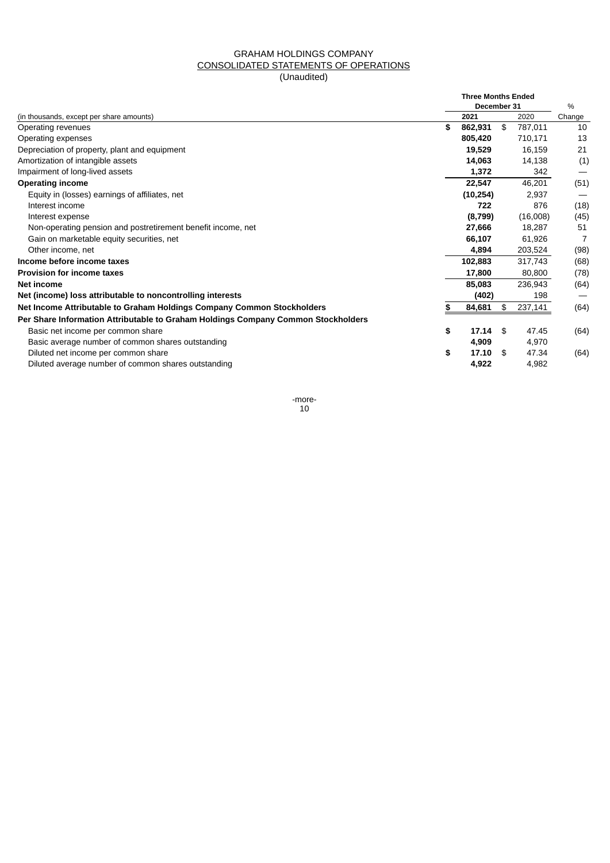## GRAHAM HOLDINGS COMPANY CONSOLIDATED STATEMENTS OF OPERATIONS (Unaudited)

|                                                                                   |    | <b>Three Months Ended</b><br>December 31 |               | %      |  |
|-----------------------------------------------------------------------------------|----|------------------------------------------|---------------|--------|--|
| (in thousands, except per share amounts)                                          |    | 2021                                     | 2020          | Change |  |
| Operating revenues                                                                | \$ | 862,931                                  | \$<br>787,011 | 10     |  |
| Operating expenses                                                                |    | 805,420                                  | 710,171       | 13     |  |
| Depreciation of property, plant and equipment                                     |    | 19,529                                   | 16,159        | 21     |  |
| Amortization of intangible assets                                                 |    | 14,063                                   | 14,138        | (1)    |  |
| Impairment of long-lived assets                                                   |    | 1,372                                    | 342           |        |  |
| <b>Operating income</b>                                                           |    | 22,547                                   | 46,201        | (51)   |  |
| Equity in (losses) earnings of affiliates, net                                    |    | (10, 254)                                | 2,937         |        |  |
| Interest income                                                                   |    | 722                                      | 876           | (18)   |  |
| Interest expense                                                                  |    | (8,799)                                  | (16,008)      | (45)   |  |
| Non-operating pension and postretirement benefit income, net                      |    | 27,666                                   | 18,287        | 51     |  |
| Gain on marketable equity securities, net                                         |    | 66,107                                   | 61,926        | 7      |  |
| Other income, net                                                                 |    | 4,894                                    | 203,524       | (98)   |  |
| Income before income taxes                                                        |    | 102,883                                  | 317,743       | (68)   |  |
| <b>Provision for income taxes</b>                                                 |    | 17,800                                   | 80,800        | (78)   |  |
| Net income                                                                        |    | 85,083                                   | 236,943       | (64)   |  |
| Net (income) loss attributable to noncontrolling interests                        |    | (402)                                    | 198           |        |  |
| Net Income Attributable to Graham Holdings Company Common Stockholders            | S  | 84,681                                   | \$<br>237,141 | (64)   |  |
| Per Share Information Attributable to Graham Holdings Company Common Stockholders |    |                                          |               |        |  |
| Basic net income per common share                                                 | \$ | 17.14                                    | \$<br>47.45   | (64)   |  |
| Basic average number of common shares outstanding                                 |    | 4,909                                    | 4,970         |        |  |
| Diluted net income per common share                                               | \$ | 17.10                                    | \$<br>47.34   | (64)   |  |
| Diluted average number of common shares outstanding                               |    | 4,922                                    | 4,982         |        |  |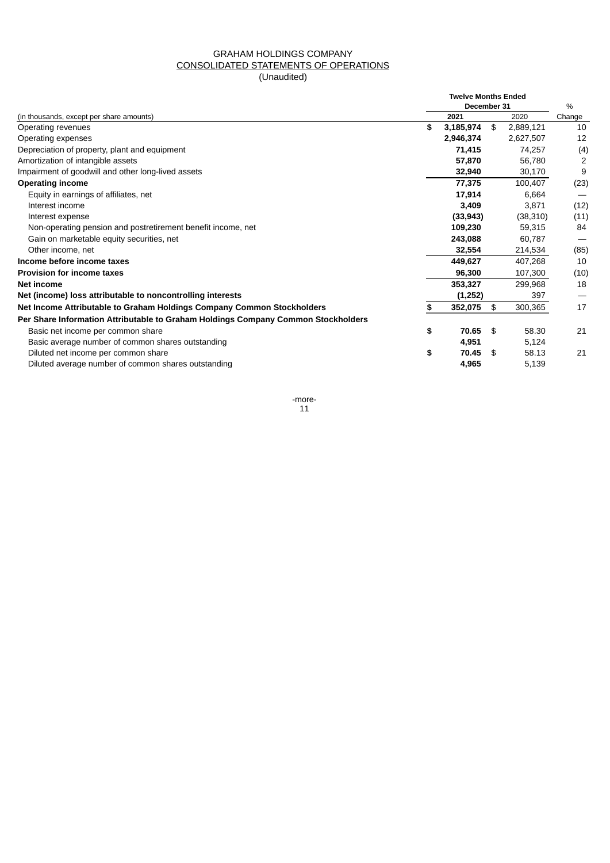# GRAHAM HOLDINGS COMPANY CONSOLIDATED STATEMENTS OF OPERATIONS

# (Unaudited)

|                                                                                   |    | <b>Twelve Months Ended</b><br>December 31 |                 | $\frac{0}{0}$ |  |
|-----------------------------------------------------------------------------------|----|-------------------------------------------|-----------------|---------------|--|
| (in thousands, except per share amounts)                                          |    | 2021                                      | 2020            | Change        |  |
| Operating revenues                                                                | \$ | 3,185,974                                 | \$<br>2,889,121 | 10            |  |
| Operating expenses                                                                |    | 2,946,374                                 | 2,627,507       | 12            |  |
| Depreciation of property, plant and equipment                                     |    | 71,415                                    | 74.257          | (4)           |  |
| Amortization of intangible assets                                                 |    | 57,870                                    | 56,780          | 2             |  |
| Impairment of goodwill and other long-lived assets                                |    | 32,940                                    | 30,170          | 9             |  |
| <b>Operating income</b>                                                           |    | 77,375                                    | 100.407         | (23)          |  |
| Equity in earnings of affiliates, net                                             |    | 17,914                                    | 6.664           |               |  |
| Interest income                                                                   |    | 3,409                                     | 3.871           | (12)          |  |
| Interest expense                                                                  |    | (33, 943)                                 | (38, 310)       | (11)          |  |
| Non-operating pension and postretirement benefit income, net                      |    | 109,230                                   | 59,315          | 84            |  |
| Gain on marketable equity securities, net                                         |    | 243,088                                   | 60,787          |               |  |
| Other income, net                                                                 |    | 32,554                                    | 214,534         | (85)          |  |
| Income before income taxes                                                        |    | 449.627                                   | 407.268         | 10            |  |
| <b>Provision for income taxes</b>                                                 |    | 96,300                                    | 107,300         | (10)          |  |
| Net income                                                                        |    | 353,327                                   | 299,968         | 18            |  |
| Net (income) loss attributable to noncontrolling interests                        |    | (1,252)                                   | 397             |               |  |
| Net Income Attributable to Graham Holdings Company Common Stockholders            | S  | 352,075                                   | \$<br>300,365   | 17            |  |
| Per Share Information Attributable to Graham Holdings Company Common Stockholders |    |                                           |                 |               |  |
| Basic net income per common share                                                 | \$ | 70.65                                     | \$<br>58.30     | 21            |  |
| Basic average number of common shares outstanding                                 |    | 4,951                                     | 5,124           |               |  |
| Diluted net income per common share                                               | \$ | 70.45                                     | \$<br>58.13     | 21            |  |
| Diluted average number of common shares outstanding                               |    | 4,965                                     | 5,139           |               |  |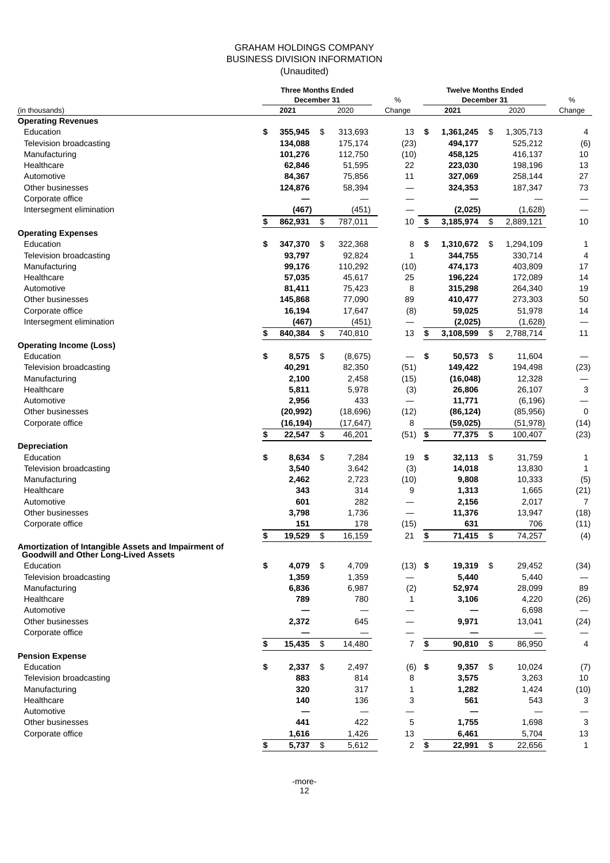### GRAHAM HOLDINGS COMPANY BUSINESS DIVISION INFORMATION (Unaudited)

|                                                                                                    | <b>Three Months Ended</b><br>December 31 |            |            |           | <b>Twelve Months Ended</b> |                          |      |             |                          |
|----------------------------------------------------------------------------------------------------|------------------------------------------|------------|------------|-----------|----------------------------|--------------------------|------|-------------|--------------------------|
|                                                                                                    |                                          | 2021       |            | 2020      | %<br>Change                | December 31<br>2021      | 2020 | %<br>Change |                          |
| (in thousands)<br><b>Operating Revenues</b>                                                        |                                          |            |            |           |                            |                          |      |             |                          |
| Education                                                                                          | \$                                       | 355,945    | \$         | 313,693   | 13                         | \$<br>1,361,245          | \$   | 1,305,713   | 4                        |
| Television broadcasting                                                                            |                                          | 134,088    |            | 175,174   | (23)                       | 494,177                  |      | 525,212     | (6)                      |
| Manufacturing                                                                                      |                                          | 101,276    |            | 112,750   | (10)                       | 458,125                  |      | 416,137     | 10                       |
| Healthcare                                                                                         |                                          | 62,846     |            | 51,595    | 22                         | 223,030                  |      | 198,196     | 13                       |
| Automotive                                                                                         |                                          | 84,367     |            | 75,856    | 11                         | 327,069                  |      | 258,144     | 27                       |
| Other businesses                                                                                   |                                          | 124,876    |            | 58,394    | $\overline{\phantom{0}}$   | 324,353                  |      | 187,347     | 73                       |
| Corporate office                                                                                   |                                          |            |            |           | —                          |                          |      |             |                          |
| Intersegment elimination                                                                           |                                          | (467)      |            | (451)     |                            | (2,025)                  |      | (1,628)     |                          |
|                                                                                                    | \$                                       | 862,931    | \$         | 787,011   | 10                         | \$<br>3,185,974          | \$   | 2,889,121   | 10                       |
| <b>Operating Expenses</b>                                                                          |                                          |            |            |           |                            |                          |      |             |                          |
| Education                                                                                          | \$                                       | 347,370    | \$         | 322,368   | 8                          | \$<br>1,310,672          | \$   | 1,294,109   | 1                        |
| Television broadcasting                                                                            |                                          | 93,797     |            | 92,824    | $1\,$                      | 344,755                  |      | 330,714     | 4                        |
| Manufacturing                                                                                      |                                          | 99,176     |            | 110,292   | (10)                       | 474,173                  |      | 403,809     | 17                       |
| Healthcare                                                                                         |                                          | 57,035     |            | 45,617    | 25                         | 196,224                  |      | 172,089     | 14                       |
| Automotive                                                                                         |                                          | 81,411     |            | 75,423    | 8                          | 315,298                  |      | 264,340     | 19                       |
| Other businesses                                                                                   |                                          | 145,868    |            | 77,090    | 89                         | 410,477                  |      | 273,303     | 50                       |
| Corporate office                                                                                   |                                          | 16,194     |            | 17,647    | (8)                        | 59,025                   |      | 51,978      | 14                       |
| Intersegment elimination                                                                           |                                          | (467)      |            | (451)     |                            | (2,025)                  |      | (1,628)     |                          |
|                                                                                                    | \$                                       | 840,384    | \$         | 740,810   | 13                         | \$<br>3,108,599          | \$   | 2,788,714   | 11                       |
| <b>Operating Income (Loss)</b>                                                                     |                                          |            |            |           |                            |                          |      |             |                          |
| Education                                                                                          | \$                                       | 8,575      | $\sqrt{3}$ | (8,675)   |                            | \$<br>50,573             | \$   | 11,604      |                          |
| Television broadcasting                                                                            |                                          | 40,291     |            | 82,350    | (51)                       | 149,422                  |      | 194,498     | (23)                     |
| Manufacturing                                                                                      |                                          | 2,100      |            | 2,458     | (15)                       | (16, 048)                |      | 12,328      | $\overline{\phantom{0}}$ |
| Healthcare                                                                                         |                                          | 5,811      |            | 5,978     | (3)                        | 26,806                   |      | 26,107      | 3                        |
| Automotive                                                                                         |                                          | 2,956      |            | 433       | —                          | 11,771                   |      | (6, 196)    | $\overline{\phantom{0}}$ |
| Other businesses                                                                                   |                                          | (20, 992)  |            | (18,696)  | (12)                       | (86, 124)                |      | (85, 956)   | $\mathbf 0$              |
| Corporate office                                                                                   |                                          | (16, 194)  |            | (17, 647) | 8                          | (59, 025)                |      | (51, 978)   | (14)                     |
|                                                                                                    | \$                                       | 22,547     | \$         | 46,201    | (51)                       | \$<br>77,375             | \$   | 100,407     | (23)                     |
| <b>Depreciation</b>                                                                                |                                          |            |            |           |                            |                          |      |             |                          |
| Education                                                                                          | \$                                       | 8,634      | \$         | 7,284     | 19                         | \$<br>32,113             | \$   | 31,759      | 1                        |
| Television broadcasting                                                                            |                                          | 3,540      |            | 3,642     | (3)                        | 14,018                   |      | 13,830      | 1                        |
| Manufacturing                                                                                      |                                          | 2,462      |            | 2,723     | (10)                       | 9,808                    |      | 10,333      | (5)                      |
| Healthcare                                                                                         |                                          | 343        |            | 314       | 9                          | 1,313                    |      | 1,665       | (21)                     |
| Automotive                                                                                         |                                          | 601        |            | 282       |                            | 2,156                    |      | 2,017       | 7                        |
| Other businesses                                                                                   |                                          | 3,798      |            | 1,736     |                            | 11,376                   |      | 13,947      | (18)                     |
| Corporate office                                                                                   |                                          | 151        |            | 178       | (15)                       | 631                      |      | 706         | (11)                     |
|                                                                                                    | \$                                       | 19,529     | \$         | 16,159    | 21                         | \$<br>71,415             | \$   | 74,257      | (4)                      |
| Amortization of Intangible Assets and Impairment of<br><b>Goodwill and Other Long-Lived Assets</b> |                                          |            |            |           |                            |                          |      |             |                          |
| Education                                                                                          | \$                                       | 4,079      | $\sqrt{3}$ | 4,709     | (13)                       | \$<br>19,319             | \$   | 29,452      | (34)                     |
| Television broadcasting                                                                            |                                          | 1,359      |            | 1,359     |                            | 5,440                    |      | 5,440       |                          |
| Manufacturing                                                                                      |                                          | 6,836      |            | 6,987     | (2)                        | 52,974                   |      | 28,099      | 89                       |
| Healthcare                                                                                         |                                          | 789        |            | 780       | 1                          | 3,106                    |      | 4,220       | (26)                     |
| Automotive                                                                                         |                                          |            |            |           |                            |                          |      | 6,698       | $\overline{\phantom{m}}$ |
| Other businesses                                                                                   |                                          | 2,372      |            | 645       | $\overline{\phantom{0}}$   | 9,971                    |      | 13,041      | (24)                     |
| Corporate office                                                                                   |                                          |            |            |           |                            |                          |      |             |                          |
|                                                                                                    | \$                                       | 15,435     | \$         | 14,480    | $\overline{7}$             | \$<br>90,810             | \$   | 86,950      | 4                        |
| <b>Pension Expense</b>                                                                             |                                          |            |            |           |                            |                          |      |             |                          |
| Education                                                                                          | \$                                       | 2,337      | \$         | 2,497     | (6)                        | \$<br>9,357              | \$   | 10,024      | (7)                      |
| Television broadcasting                                                                            |                                          | 883        |            | 814       | 8                          | 3,575                    |      | 3,263       | 10                       |
| Manufacturing                                                                                      |                                          | 320        |            | 317       | 1                          | 1,282                    |      | 1,424       | (10)                     |
| Healthcare                                                                                         |                                          | 140        |            | 136       | 3                          | 561                      |      | 543         | 3                        |
| Automotive                                                                                         |                                          |            |            |           |                            | $\overline{\phantom{0}}$ |      |             |                          |
| Other businesses                                                                                   |                                          | 441        |            | 422       | 5                          | 1,755                    |      | 1,698       | 3                        |
| Corporate office                                                                                   |                                          | 1,616      |            | 1,426     | 13                         | 6,461                    |      | 5,704       | 13                       |
|                                                                                                    | \$                                       | $5,737$ \$ |            | 5,612     | 2                          | \$<br>22,991             | \$   | 22,656      | $\mathbf{1}$             |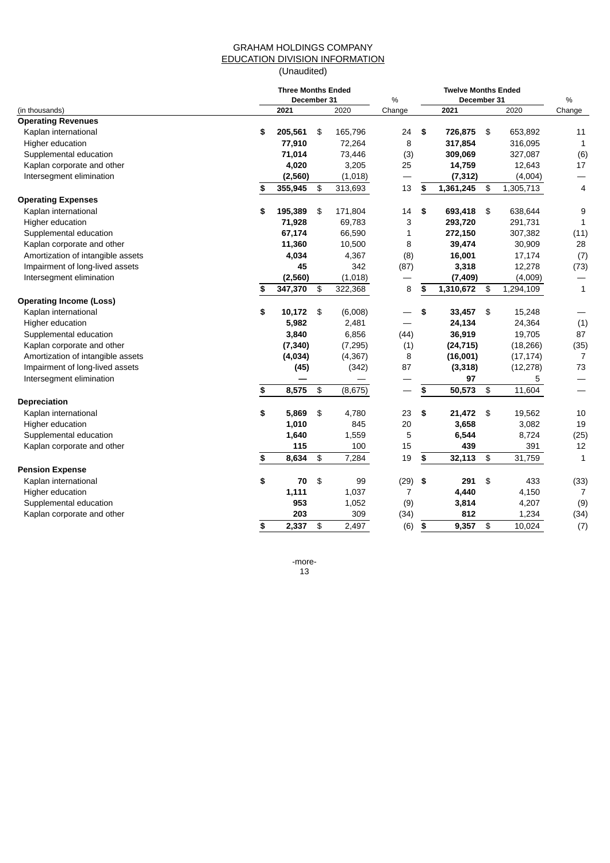## GRAHAM HOLDINGS COMPANY EDUCATION DIVISION INFORMATION (Unaudited)

|                                   |    | <b>Three Months Ended</b><br>December 31 |               |          | %              |    | $\%$      |                |           |                |
|-----------------------------------|----|------------------------------------------|---------------|----------|----------------|----|-----------|----------------|-----------|----------------|
| (in thousands)                    |    | 2021                                     |               | 2020     | Change         |    | 2021      |                | 2020      | Change         |
| <b>Operating Revenues</b>         |    |                                          |               |          |                |    |           |                |           |                |
| Kaplan international              | \$ | 205,561                                  | -\$           | 165,796  | 24             | \$ | 726,875   | -\$            | 653,892   | 11             |
| Higher education                  |    | 77,910                                   |               | 72,264   | 8              |    | 317,854   |                | 316,095   | $1\,$          |
| Supplemental education            |    | 71,014                                   |               | 73,446   | (3)            |    | 309,069   |                | 327,087   | (6)            |
| Kaplan corporate and other        |    | 4,020                                    |               | 3,205    | 25             |    | 14,759    |                | 12,643    | 17             |
| Intersegment elimination          |    | (2,560)                                  |               | (1,018)  |                |    | (7, 312)  |                | (4,004)   |                |
|                                   | \$ | 355,945                                  | \$            | 313,693  | 13             | \$ | 1,361,245 | \$             | 1,305,713 | 4              |
| <b>Operating Expenses</b>         |    |                                          |               |          |                |    |           |                |           |                |
| Kaplan international              | \$ | 195,389                                  | \$            | 171,804  | 14             | \$ | 693,418   | \$             | 638,644   | 9              |
| Higher education                  |    | 71,928                                   |               | 69,783   | 3              |    | 293,720   |                | 291,731   | $\mathbf{1}$   |
| Supplemental education            |    | 67,174                                   |               | 66,590   | $1\,$          |    | 272,150   |                | 307,382   | (11)           |
| Kaplan corporate and other        |    | 11,360                                   |               | 10,500   | 8              |    | 39,474    |                | 30,909    | 28             |
| Amortization of intangible assets |    | 4,034                                    |               | 4,367    | (8)            |    | 16,001    |                | 17,174    | (7)            |
| Impairment of long-lived assets   |    | 45                                       |               | 342      | (87)           |    | 3,318     |                | 12,278    | (73)           |
| Intersegment elimination          |    | (2, 560)                                 |               | (1,018)  |                |    | (7, 409)  |                | (4,009)   |                |
|                                   | S  | 347,370                                  | \$            | 322,368  | 8              | \$ | 1,310,672 | \$             | 1,294,109 | $\mathbf 1$    |
| <b>Operating Income (Loss)</b>    |    |                                          |               |          |                |    |           |                |           |                |
| Kaplan international              | \$ | 10,172                                   | - \$          | (6,008)  |                | \$ | 33,457    | $\sqrt{3}$     | 15,248    |                |
| Higher education                  |    | 5,982                                    |               | 2,481    |                |    | 24,134    |                | 24,364    | (1)            |
| Supplemental education            |    | 3,840                                    |               | 6,856    | (44)           |    | 36,919    |                | 19,705    | 87             |
| Kaplan corporate and other        |    | (7, 340)                                 |               | (7, 295) | (1)            |    | (24, 715) |                | (18, 266) | (35)           |
| Amortization of intangible assets |    | (4,034)                                  |               | (4, 367) | 8              |    | (16,001)  |                | (17, 174) | 7              |
| Impairment of long-lived assets   |    | (45)                                     |               | (342)    | 87             |    | (3,318)   |                | (12, 278) | 73             |
| Intersegment elimination          |    |                                          |               |          |                |    | 97        |                | 5         |                |
|                                   | \$ | 8,575                                    | $\frac{2}{3}$ | (8,675)  |                | \$ | 50,573    | \$             | 11,604    |                |
| Depreciation                      |    |                                          |               |          |                |    |           |                |           |                |
| Kaplan international              | \$ | 5,869                                    | \$            | 4,780    | 23             | \$ | 21,472    | \$             | 19,562    | 10             |
| Higher education                  |    | 1,010                                    |               | 845      | 20             |    | 3,658     |                | 3,082     | 19             |
| Supplemental education            |    | 1,640                                    |               | 1,559    | 5              |    | 6,544     |                | 8,724     | (25)           |
| Kaplan corporate and other        |    | 115                                      |               | 100      | 15             |    | 439       |                | 391       | 12             |
|                                   | \$ | 8,634                                    | \$            | 7,284    | 19             | \$ | 32,113    | \$             | 31,759    | $\mathbf{1}$   |
| <b>Pension Expense</b>            |    |                                          |               |          |                |    |           |                |           |                |
| Kaplan international              | \$ | 70                                       | $\frac{1}{2}$ | 99       | (29)           | \$ | 291       | \$             | 433       | (33)           |
| Higher education                  |    | 1,111                                    |               | 1,037    | $\overline{7}$ |    | 4,440     |                | 4,150     | $\overline{7}$ |
| Supplemental education            |    | 953                                      |               | 1,052    | (9)            |    | 3,814     |                | 4,207     | (9)            |
| Kaplan corporate and other        |    | 203                                      |               | 309      | (34)           |    | 812       |                | 1,234     | (34)           |
|                                   | \$ | 2,337                                    | \$            | 2,497    | (6)            | \$ | 9,357     | $\mathfrak{p}$ | 10,024    | (7)            |
|                                   |    |                                          |               |          |                |    |           |                |           |                |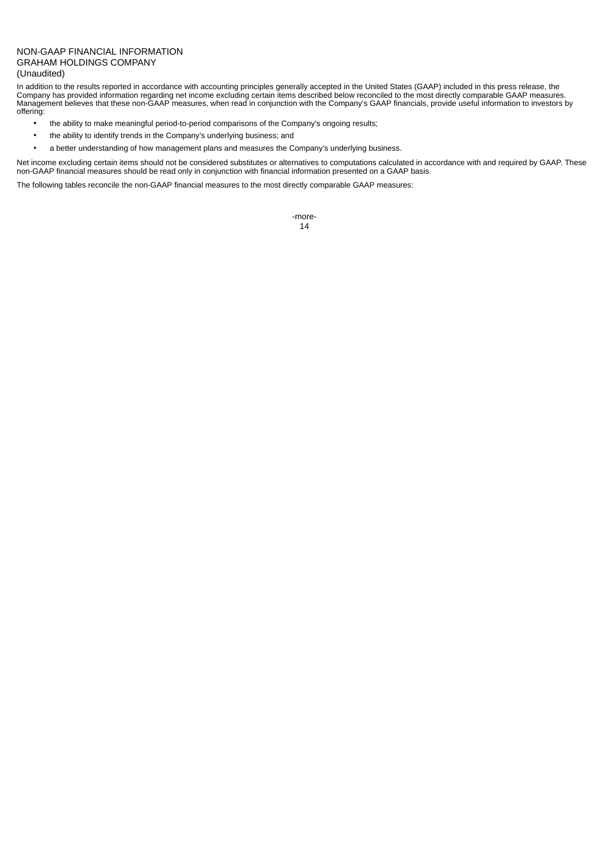#### NON-GAAP FINANCIAL INFORMATION GRAHAM HOLDINGS COMPANY (Unaudited)

In addition to the results reported in accordance with accounting principles generally accepted in the United States (GAAP) included in this press release, the Company has provided information regarding net income excluding certain items described below reconciled to the most directly comparable GAAP measures. Management believes that these non-GAAP measures, when read in conjunction with the Company's GAAP financials, provide useful information to investors by offering:

- the ability to make meaningful period-to-period comparisons of the Company's ongoing results;
- the ability to identify trends in the Company's underlying business; and
- a better understanding of how management plans and measures the Company's underlying business.

Net income excluding certain items should not be considered substitutes or alternatives to computations calculated in accordance with and required by GAAP. These non-GAAP financial measures should be read only in conjunction with financial information presented on a GAAP basis.

The following tables reconcile the non-GAAP financial measures to the most directly comparable GAAP measures: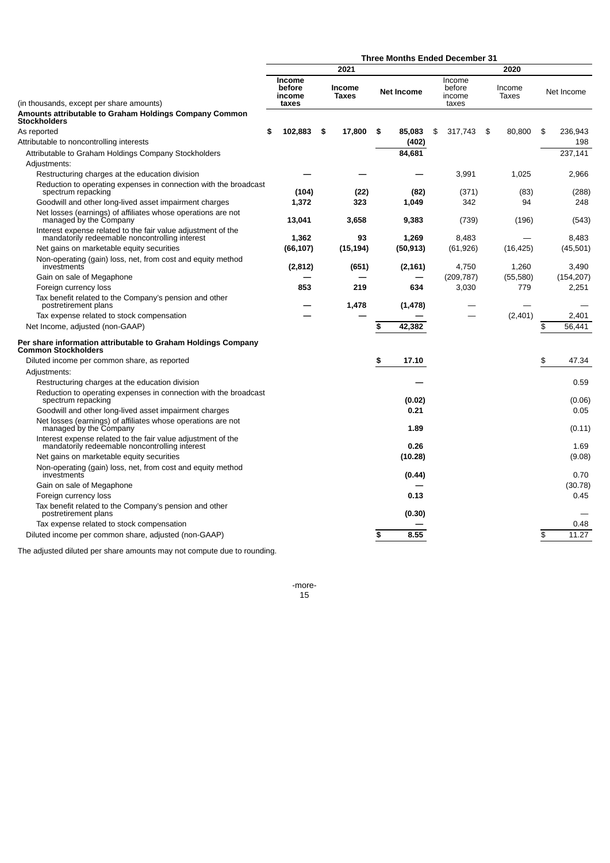|                                                                                                                           | <b>Three Months Ended December 31</b> |                               |    |                   |                            |                 |               |  |  |  |
|---------------------------------------------------------------------------------------------------------------------------|---------------------------------------|-------------------------------|----|-------------------|----------------------------|-----------------|---------------|--|--|--|
|                                                                                                                           |                                       | 2021                          |    |                   |                            | 2020            |               |  |  |  |
|                                                                                                                           | <b>Income</b><br>before<br>income     | <b>Income</b><br><b>Taxes</b> |    | <b>Net Income</b> | Income<br>before<br>income | Income<br>Taxes | Net Income    |  |  |  |
| (in thousands, except per share amounts)<br>Amounts attributable to Graham Holdings Company Common<br><b>Stockholders</b> | taxes                                 |                               |    |                   | taxes                      |                 |               |  |  |  |
| As reported                                                                                                               | \$<br>102,883                         | \$<br>17,800                  | \$ | 85,083            | \$<br>317,743              | \$<br>80,800    | \$<br>236.943 |  |  |  |
| Attributable to noncontrolling interests                                                                                  |                                       |                               |    | (402)             |                            |                 | 198           |  |  |  |
| Attributable to Graham Holdings Company Stockholders                                                                      |                                       |                               |    | 84,681            |                            |                 | 237,141       |  |  |  |
| Adjustments:                                                                                                              |                                       |                               |    |                   |                            |                 |               |  |  |  |
| Restructuring charges at the education division                                                                           |                                       |                               |    |                   | 3,991                      | 1,025           | 2,966         |  |  |  |
| Reduction to operating expenses in connection with the broadcast<br>spectrum repacking                                    | (104)                                 | (22)                          |    | (82)              | (371)                      | (83)            | (288)         |  |  |  |
| Goodwill and other long-lived asset impairment charges                                                                    | 1,372                                 | 323                           |    | 1,049             | 342                        | 94              | 248           |  |  |  |
| Net losses (earnings) of affiliates whose operations are not<br>managed by the Company                                    | 13,041                                | 3,658                         |    | 9,383             | (739)                      | (196)           | (543)         |  |  |  |
| Interest expense related to the fair value adjustment of the<br>mandatorily redeemable noncontrolling interest            | 1,362                                 | 93                            |    | 1,269             | 8,483                      |                 | 8,483         |  |  |  |
| Net gains on marketable equity securities                                                                                 | (66, 107)                             | (15, 194)                     |    | (50, 913)         | (61, 926)                  | (16, 425)       | (45,501)      |  |  |  |
| Non-operating (gain) loss, net, from cost and equity method<br>investments                                                | (2, 812)                              | (651)                         |    | (2, 161)          | 4.750                      | 1,260           | 3.490         |  |  |  |
| Gain on sale of Megaphone                                                                                                 |                                       |                               |    |                   | (209, 787)                 | (55,580)        | (154, 207)    |  |  |  |
| Foreign currency loss                                                                                                     | 853                                   | 219                           |    | 634               | 3,030                      | 779             | 2,251         |  |  |  |
| Tax benefit related to the Company's pension and other<br>postretirement plans                                            |                                       | 1,478                         |    | (1, 478)          |                            |                 |               |  |  |  |
| Tax expense related to stock compensation                                                                                 |                                       |                               |    |                   |                            | (2,401)         | 2,401         |  |  |  |
| Net Income, adjusted (non-GAAP)                                                                                           |                                       |                               | \$ | 42,382            |                            |                 | \$<br>56.441  |  |  |  |
| Per share information attributable to Graham Holdings Company<br><b>Common Stockholders</b>                               |                                       |                               |    |                   |                            |                 |               |  |  |  |
| Diluted income per common share, as reported                                                                              |                                       |                               | \$ | 17.10             |                            |                 | \$<br>47.34   |  |  |  |
| Adjustments:                                                                                                              |                                       |                               |    |                   |                            |                 |               |  |  |  |
| Restructuring charges at the education division                                                                           |                                       |                               |    |                   |                            |                 | 0.59          |  |  |  |
| Reduction to operating expenses in connection with the broadcast<br>spectrum repacking                                    |                                       |                               |    | (0.02)            |                            |                 | (0.06)        |  |  |  |
| Goodwill and other long-lived asset impairment charges                                                                    |                                       |                               |    | 0.21              |                            |                 | 0.05          |  |  |  |
| Net losses (earnings) of affiliates whose operations are not<br>managed by the Company                                    |                                       |                               |    | 1.89              |                            |                 | (0.11)        |  |  |  |
| Interest expense related to the fair value adjustment of the<br>mandatorily redeemable noncontrolling interest            |                                       |                               |    | 0.26              |                            |                 | 1.69          |  |  |  |
| Net gains on marketable equity securities                                                                                 |                                       |                               |    | (10.28)           |                            |                 | (9.08)        |  |  |  |
| Non-operating (gain) loss, net, from cost and equity method<br>investments                                                |                                       |                               |    | (0.44)            |                            |                 | 0.70          |  |  |  |
| Gain on sale of Megaphone                                                                                                 |                                       |                               |    |                   |                            |                 | (30.78)       |  |  |  |
| Foreign currency loss                                                                                                     |                                       |                               |    | 0.13              |                            |                 | 0.45          |  |  |  |
| Tax benefit related to the Company's pension and other<br>postretirement plans                                            |                                       |                               |    | (0.30)            |                            |                 |               |  |  |  |
| Tax expense related to stock compensation                                                                                 |                                       |                               |    |                   |                            |                 | 0.48          |  |  |  |
| Diluted income per common share, adjusted (non-GAAP)                                                                      |                                       |                               | \$ | 8.55              |                            |                 | 11.27<br>\$   |  |  |  |

The adjusted diluted per share amounts may not compute due to rounding.